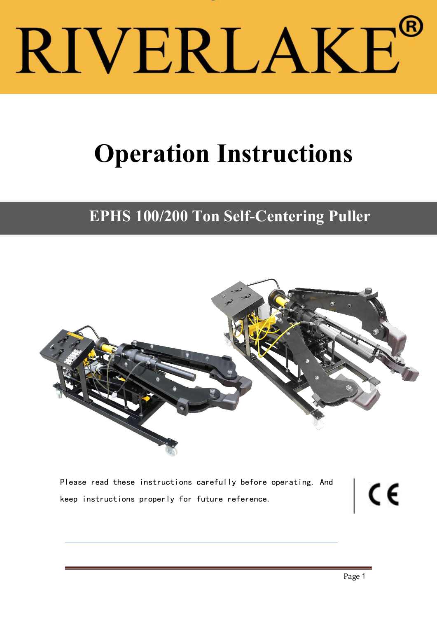# RIVERLAKE®

# **Operation Instructions**

# **EPHS 100/200 Ton Self-Centering Puller**



Please read these instructions carefully before operating. And<br>keep instructions properly for future reference. keep instructions properly for future reference.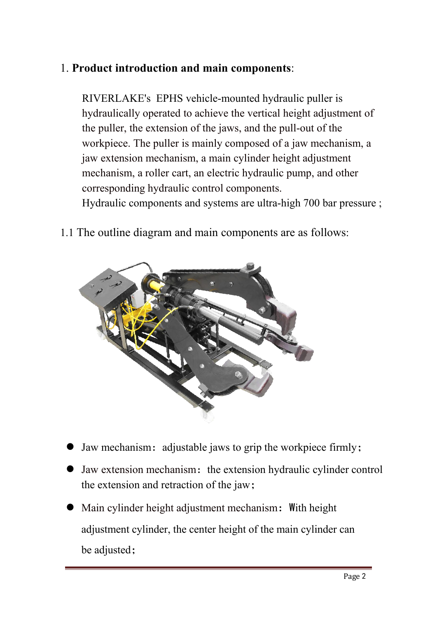## 1. **Product introduction and main components**:

RIVERLAKE's EPHS vehicle-mounted hydraulic puller is hydraulically operated to achieve the vertical height adjustment of the puller, the extension of the jaws, and the pull-out of the workpiece. The puller is mainly composed of a jaw mechanism, a jaw extension mechanism, a main cylinder height adjustment mechanism, a roller cart, an electric hydraulic pump, and other corresponding hydraulic control components.

Hydraulic components and systems are ultra-high 700 bar pressure ;

1.1 The outline diagram and main components are as follows:



- Iaw mechanism: adjustable jaws to grip the workpiece firmly;
- Jaw extension mechanism: the extension hydraulic cylinder control the extension and retraction of the jaw;
- Main cylinder height adjustment mechanism: With height adjustment cylinder, the center height of the main cylinder can be adjusted;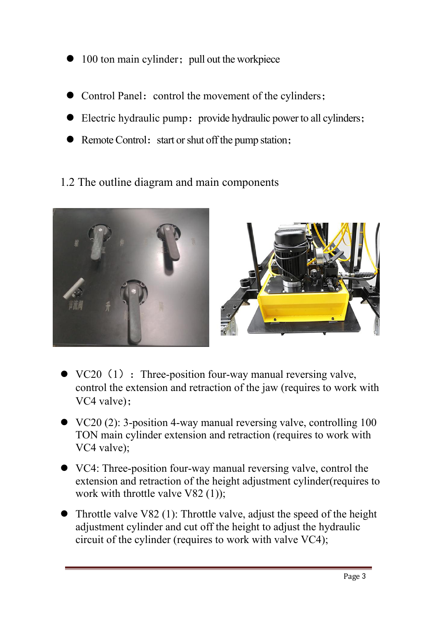- $\bullet$  100 ton main cylinder; pull out the workpiece
- Control Panel: control the movement of the cylinders;
- Electric hydraulic pump: provide hydraulic power to all cylinders;
- Remote Control: start or shut off the pump station;
- 1.2 The outline diagram and main components



- $\bullet$  VC20 (1) : Three-position four-way manual reversing valve, control the extension and retraction of the jaw (requires to work with VC4 valve);
- VC20 (2): 3-position 4-way manual reversing valve, controlling 100 TON main cylinder extension and retraction (requires to work with VC4 valve);
- VC4: Three-position four-way manual reversing valve, control the extension and retraction of the height adjustment cylinder(requires to work with throttle valve V82 (1));
- Throttle valve V82 (1): Throttle valve, adjust the speed of the height adjustment cylinder and cut off the height to adjust the hydraulic circuit of the cylinder (requires to work with valve VC4);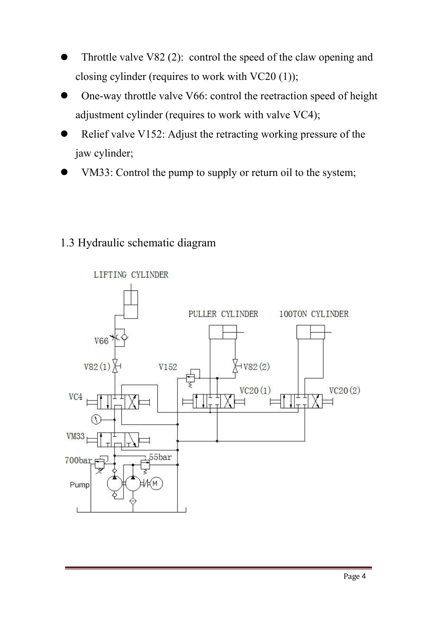- Throttle valve V82 (2): control the speed of the claw opening and closing cylinder (requires to work with VC20 (1));
- One-way throttle valve V66: control the reetraction speed of height adjustment cylinder (requires to work with valve VC4);
- Relief valve V152: Adjust the retracting working pressure of the jaw cylinder;
- VM33: Control the pump to supply or return oil to the system;

## 1.3 Hydraulic schematic diagram

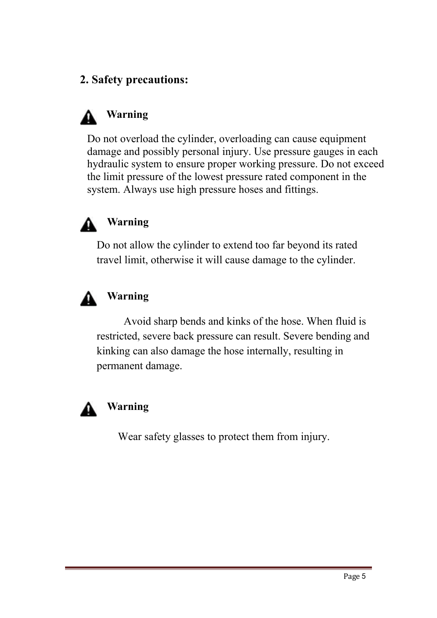# **2. Safety precautions:**

# **Warning**

Do not overload the cylinder, overloading can cause equipment damage and possibly personal injury. Use pressure gauges in each hydraulic system to ensure proper working pressure. Do not exceed the limit pressure of the lowest pressure rated component in the system. Always use high pressure hoses and fittings.



#### **Warning**

Do not allow the cylinder to extend too far beyond its rated travel limit, otherwise it will cause damage to the cylinder.



#### **Warning**

Avoid sharp bends and kinks of the hose. When fluid is restricted, severe back pressure can result. Severe bending and kinking can also damage the hose internally, resulting in permanent damage.



# **Warning**

Wear safety glasses to protect them from injury.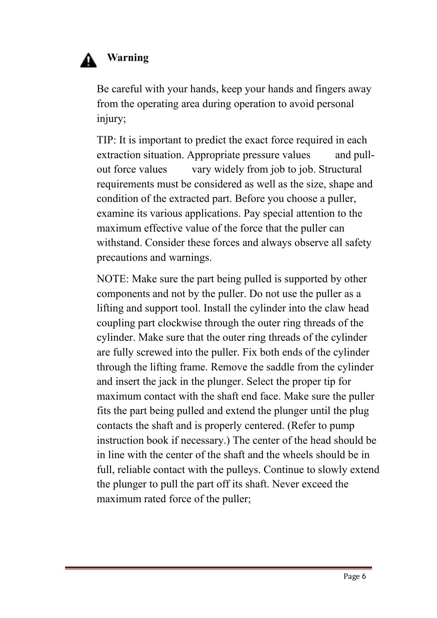# **Warning**

Be careful with your hands, keep your hands and fingers away from the operating area during operation to avoid personal injury;

TIP: It is important to predict the exact force required in each extraction situation. Appropriate pressure values and pullout force values vary widely from job to job. Structural requirements must be considered as well as the size, shape and condition of the extracted part. Before you choose a puller, examine its various applications. Pay special attention to the maximum effective value of the force that the puller can withstand. Consider these forces and always observe all safety precautions and warnings.

NOTE: Make sure the part being pulled is supported by other components and not by the puller. Do not use the puller as a lifting and support tool. Install the cylinder into the claw head coupling part clockwise through the outer ring threads of the cylinder. Make sure that the outer ring threads of the cylinder are fully screwed into the puller. Fix both ends of the cylinder through the lifting frame. Remove the saddle from the cylinder and insert the jack in the plunger. Select the proper tip for maximum contact with the shaft end face. Make sure the puller fits the part being pulled and extend the plunger until the plug contacts the shaft and is properly centered. (Refer to pump instruction book if necessary.) The center of the head should be in line with the center of the shaft and the wheels should be in full, reliable contact with the pulleys. Continue to slowly extend the plunger to pull the part off its shaft. Never exceed the maximum rated force of the puller;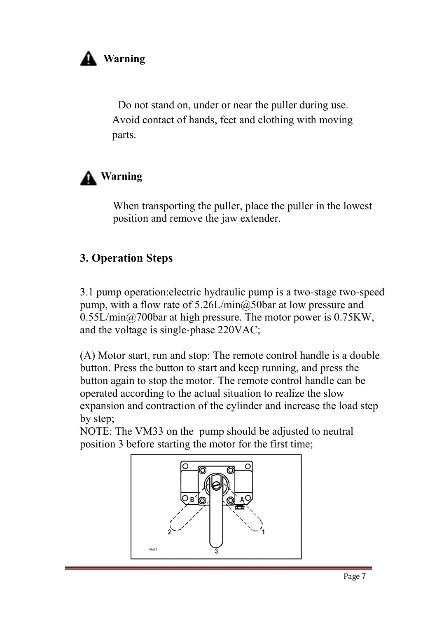# **Warning**

Do not stand on, under or near the puller during use. Avoid contact of hands, feet and clothing with moving parts.

# **Warning**

When transporting the puller, place the puller in the lowest position and remove the jaw extender.

#### **3. Operation Steps**

3.1 pump operation:electric hydraulic pump is a two-stage two-speed pump, with a flow rate of  $5.26L/min@.50bar$  at low pressure and 0.55L/min@700bar at high pressure. The motor power is 0.75KW, and the voltage is single-phase 220VAC;

(A) Motor start, run and stop: The remote control handle is a double button. Press the button to start and keep running, and press the button again to stop the motor. The remote control handle can be operated according to the actual situation to realize the slow expansion and contraction of the cylinder and increase the load step by step;

NOTE: The VM33 on the pump should be adjusted to neutral position 3 before starting the motor for the first time;

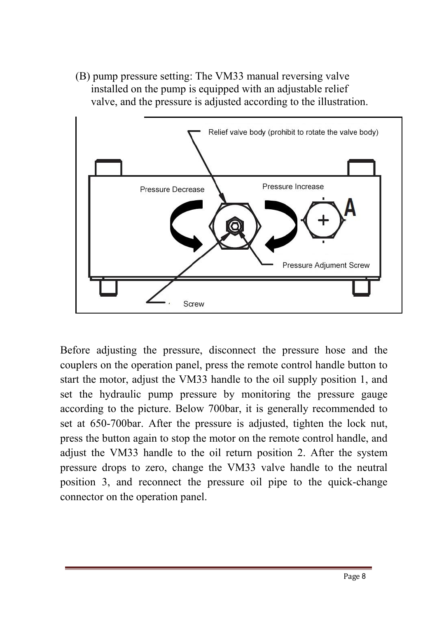(B) pump pressure setting: The VM33 manual reversing valve installed on the pump is equipped with an adjustable relief valve, and the pressure is adjusted according to the illustration.



Before adjusting the pressure, disconnect the pressure hose and the couplers on the operation panel, press the remote control handle button to start the motor, adjust the VM33 handle to the oil supply position 1, and set the hydraulic pump pressure by monitoring the pressure gauge according to the picture. Below 700bar, it is generally recommended to set at 650-700bar. After the pressure is adjusted, tighten the lock nut, press the button again to stop the motor on the remote control handle, and adjust the VM33 handle to the oil return position 2. After the system pressure drops to zero, change the VM33 valve handle to the neutral position 3, and reconnect the pressure oil pipe to the quick-change connector on the operation panel.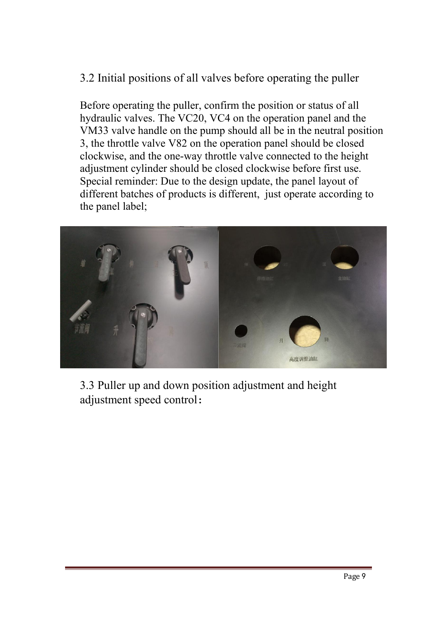# 3.2 Initial positions of all valves before operating the puller

Before operating the puller, confirm the position or status of all hydraulic valves. The VC20, VC4 on the operation panel and the VM33 valve handle on the pump should all be in the neutral position 3, the throttle valve V82 on the operation panel should be closed clockwise, and the one-way throttle valve connected to the height adjustment cylinder should be closed clockwise before first use. Special reminder: Due to the design update, the panel layout of different batches of products is different, just operate according to the panel label;



3.3 Puller up and down position adjustment and height adjustment speed control: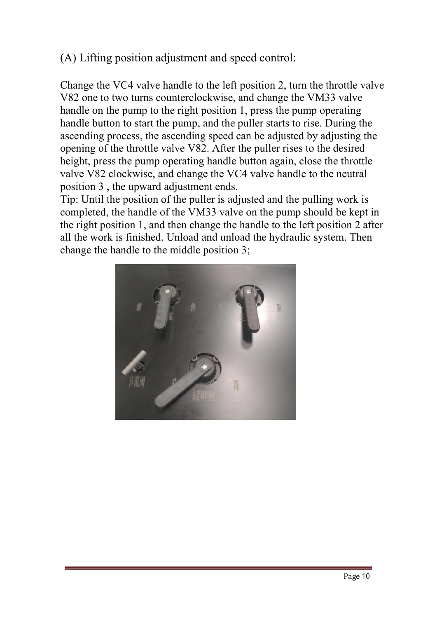# (A) Lifting position adjustment and speed control:

Change the VC4 valve handle to the left position 2, turn the throttle valve V82 one to two turns counterclockwise, and change the VM33 valve handle on the pump to the right position 1, press the pump operating handle button to start the pump, and the puller starts to rise. During the ascending process, the ascending speed can be adjusted by adjusting the opening of the throttle valve V82. After the puller rises to the desired height, press the pump operating handle button again, close the throttle valve V82 clockwise, and change the VC4 valve handle to the neutral position 3 , the upward adjustment ends.

Tip: Until the position of the puller is adjusted and the pulling work is completed, the handle of the VM33 valve on the pump should be kept in the right position 1, and then change the handle to the left position 2 after all the work is finished. Unload and unload the hydraulic system. Then change the handle to the middle position 3;

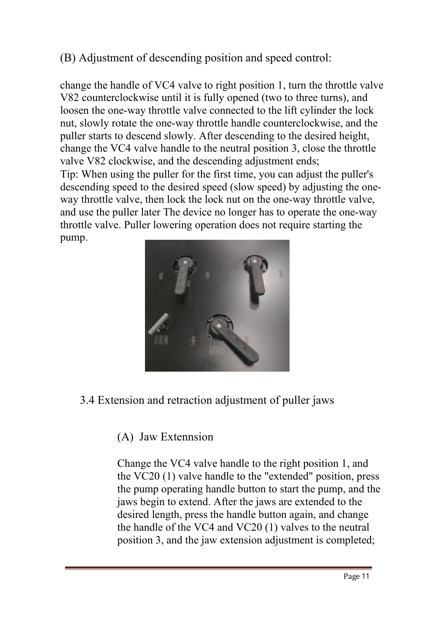# (B) Adjustment of descending position and speed control:

change the handle of VC4 valve to right position 1, turn the throttle valve V82 counterclockwise until it is fully opened (two to three turns), and loosen the one-way throttle valve connected to the lift cylinder the lock nut, slowly rotate the one-way throttle handle counterclockwise, and the puller starts to descend slowly. After descending to the desired height, change the VC4 valve handle to the neutral position 3, close the throttle valve V82 clockwise, and the descending adjustment ends; Tip: When using the puller for the first time, you can adjust the puller's descending speed to the desired speed (slow speed) by adjusting the one way throttle valve, then lock the lock nut on the one-way throttle valve, and use the puller later The device no longer has to operate the one-way throttle valve. Puller lowering operation does not require starting the pump.



#### 3.4 Extension and retraction adjustment of puller jaws

#### (A) Jaw Extennsion

Change the VC4 valve handle to the right position 1, and the VC20 (1) valve handle to the "extended" position, press the pump operating handle button to start the pump, and the jaws begin to extend. After the jaws are extended to the desired length, press the handle button again, and change the handle of the VC4 and VC20 (1) valves to the neutral position 3, and the jaw extension adjustment is completed;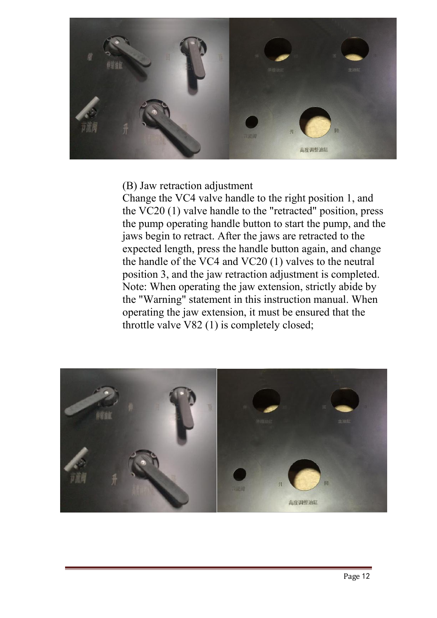

(B) Jaw retraction adjustment

Change the VC4 valve handle to the right position 1, and the VC20 (1) valve handle to the "retracted" position, press the pump operating handle button to start the pump, and the jaws begin to retract. After the jaws are retracted to the expected length, press the handle button again, and change the handle of the VC4 and VC20 (1) valves to the neutral position 3, and the jaw retraction adjustment is completed. Note: When operating the jaw extension, strictly abide by the "Warning" statement in this instruction manual. When operating the jaw extension, it must be ensured that the throttle valve V82 (1) is completely closed;

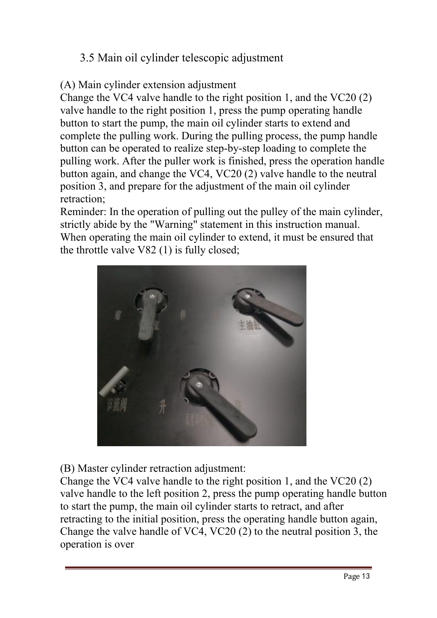# 3.5 Main oil cylinder telescopic adjustment

#### (A) Main cylinder extension adjustment

Change the VC4 valve handle to the right position 1, and the VC20 (2) valve handle to the right position 1, press the pump operating handle button to start the pump, the main oil cylinder starts to extend and complete the pulling work. During the pulling process, the pump handle button can be operated to realize step-by-step loading to complete the pulling work. After the puller work is finished, press the operation handle button again, and change the VC4, VC20 (2) valve handle to the neutral position 3, and prepare for the adjustment of the main oil cylinder retraction;

Reminder: In the operation of pulling out the pulley of the main cylinder, strictly abide by the "Warning" statement in this instruction manual. When operating the main oil cylinder to extend, it must be ensured that the throttle valve V82 (1) is fully closed;



(B) Master cylinder retraction adjustment:

Change the VC4 valve handle to the right position 1, and the VC20 (2) valve handle to the left position 2, press the pump operating handle button to start the pump, the main oil cylinder starts to retract, and after retracting to the initial position, press the operating handle button again, Change the valve handle of VC4, VC20 (2) to the neutral position 3, the operation is over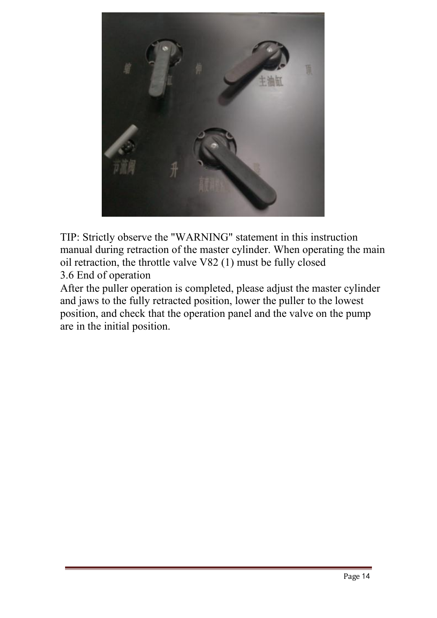

TIP: Strictly observe the "WARNING" statement in this instruction manual during retraction of the master cylinder. When operating the main oil retraction, the throttle valve V82 (1) must be fully closed 3.6 End of operation

After the puller operation is completed, please adjust the master cylinder and jaws to the fully retracted position, lower the puller to the lowest position, and check that the operation panel and the valve on the pump are in the initial position.